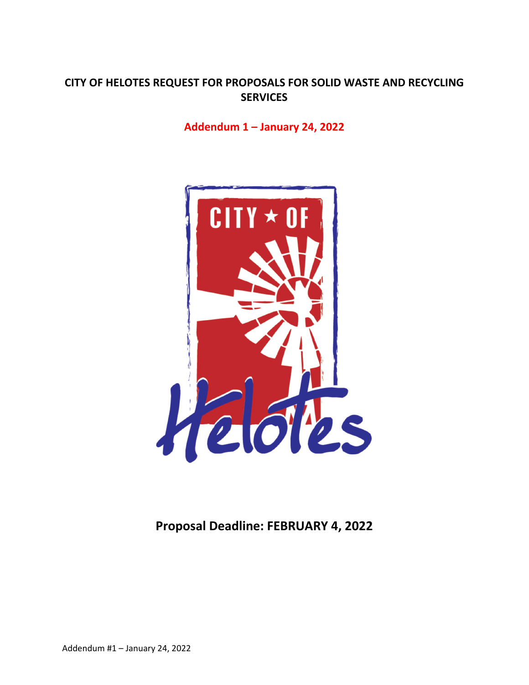# **CITY OF HELOTES REQUEST FOR PROPOSALS FOR SOLID WASTE AND RECYCLING SERVICES**

## **Addendum 1 – January 24, 2022**



**Proposal Deadline: FEBRUARY 4, 2022**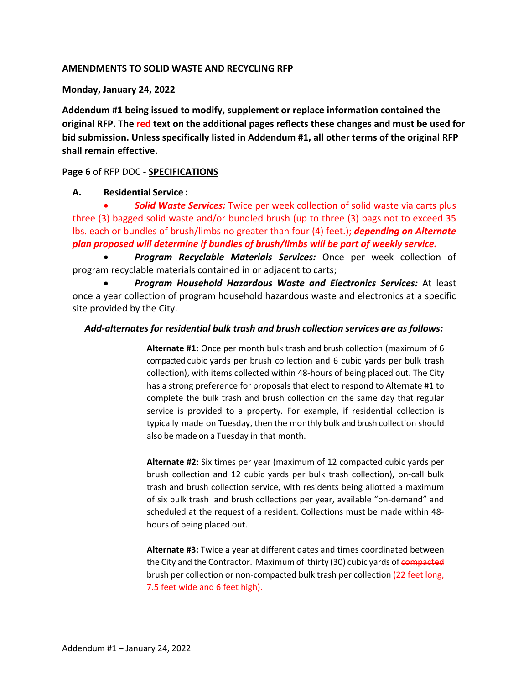## **AMENDMENTS TO SOLID WASTE AND RECYCLING RFP**

## **Monday, January 24, 2022**

**Addendum #1 being issued to modify, supplement or replace information contained the original RFP. The red text on the additional pages reflects these changes and must be used for bid submission. Unless specifically listed in Addendum #1, all other terms of the original RFP shall remain effective.** 

## **Page 6** of RFP DOC ‐ **SPECIFICATIONS**

## **A. Residential Service :**

 *Solid Waste Services:* Twice per week collection of solid waste via carts plus three (3) bagged solid waste and/or bundled brush (up to three (3) bags not to exceed 35 lbs. each or bundles of brush/limbs no greater than four (4) feet.); *depending on Alternate plan proposed will determine if bundles of brush/limbs will be part of weekly service.*

 *Program Recyclable Materials Services:* Once per week collection of program recyclable materials contained in or adjacent to carts;

 *Program Household Hazardous Waste and Electronics Services:* At least once a year collection of program household hazardous waste and electronics at a specific site provided by the City.

## *Add‐alternates for residential bulk trash and brush collection services are as follows:*

**Alternate #1:** Once per month bulk trash and brush collection (maximum of 6 compacted cubic yards per brush collection and 6 cubic yards per bulk trash collection), with items collected within 48‐hours of being placed out. The City has a strong preference for proposals that elect to respond to Alternate #1 to complete the bulk trash and brush collection on the same day that regular service is provided to a property. For example, if residential collection is typically made on Tuesday, then the monthly bulk and brush collection should also be made on a Tuesday in that month.

**Alternate #2:** Six times per year (maximum of 12 compacted cubic yards per brush collection and 12 cubic yards per bulk trash collection), on‐call bulk trash and brush collection service, with residents being allotted a maximum of six bulk trash and brush collections per year, available "on‐demand" and scheduled at the request of a resident. Collections must be made within 48‐ hours of being placed out.

**Alternate #3:** Twice a year at different dates and times coordinated between the City and the Contractor. Maximum of thirty (30) cubic yards of compacted brush per collection or non-compacted bulk trash per collection (22 feet long, 7.5 feet wide and 6 feet high).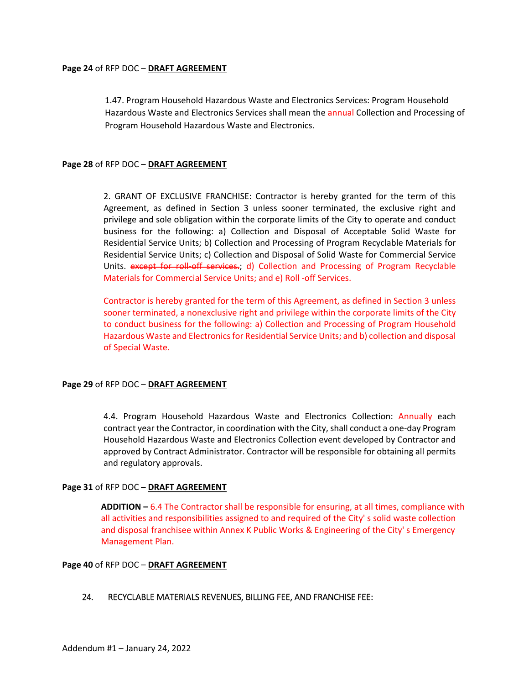#### **Page 24** of RFP DOC – **DRAFT AGREEMENT**

1.47. Program Household Hazardous Waste and Electronics Services: Program Household Hazardous Waste and Electronics Services shall mean the annual Collection and Processing of Program Household Hazardous Waste and Electronics.

## **Page 28** of RFP DOC – **DRAFT AGREEMENT**

2. GRANT OF EXCLUSIVE FRANCHISE: Contractor is hereby granted for the term of this Agreement, as defined in Section 3 unless sooner terminated, the exclusive right and privilege and sole obligation within the corporate limits of the City to operate and conduct business for the following: a) Collection and Disposal of Acceptable Solid Waste for Residential Service Units; b) Collection and Processing of Program Recyclable Materials for Residential Service Units; c) Collection and Disposal of Solid Waste for Commercial Service Units. except for roll-off services.; d) Collection and Processing of Program Recyclable Materials for Commercial Service Units; and e) Roll ‐off Services.

Contractor is hereby granted for the term of this Agreement, as defined in Section 3 unless sooner terminated, a nonexclusive right and privilege within the corporate limits of the City to conduct business for the following: a) Collection and Processing of Program Household Hazardous Waste and Electronics for Residential Service Units; and b) collection and disposal of Special Waste.

#### **Page 29** of RFP DOC – **DRAFT AGREEMENT**

4.4. Program Household Hazardous Waste and Electronics Collection: Annually each contract year the Contractor, in coordination with the City, shall conduct a one‐day Program Household Hazardous Waste and Electronics Collection event developed by Contractor and approved by Contract Administrator. Contractor will be responsible for obtaining all permits and regulatory approvals.

#### **Page 31** of RFP DOC – **DRAFT AGREEMENT**

**ADDITION –** 6.4 The Contractor shall be responsible for ensuring, at all times, compliance with all activities and responsibilities assigned to and required of the City' s solid waste collection and disposal franchisee within Annex K Public Works & Engineering of the City' s Emergency Management Plan.

#### **Page 40** of RFP DOC – **DRAFT AGREEMENT**

## 24. RECYCLABLE MATERIALS REVENUES, BILLING FEE, AND FRANCHISE FEE: